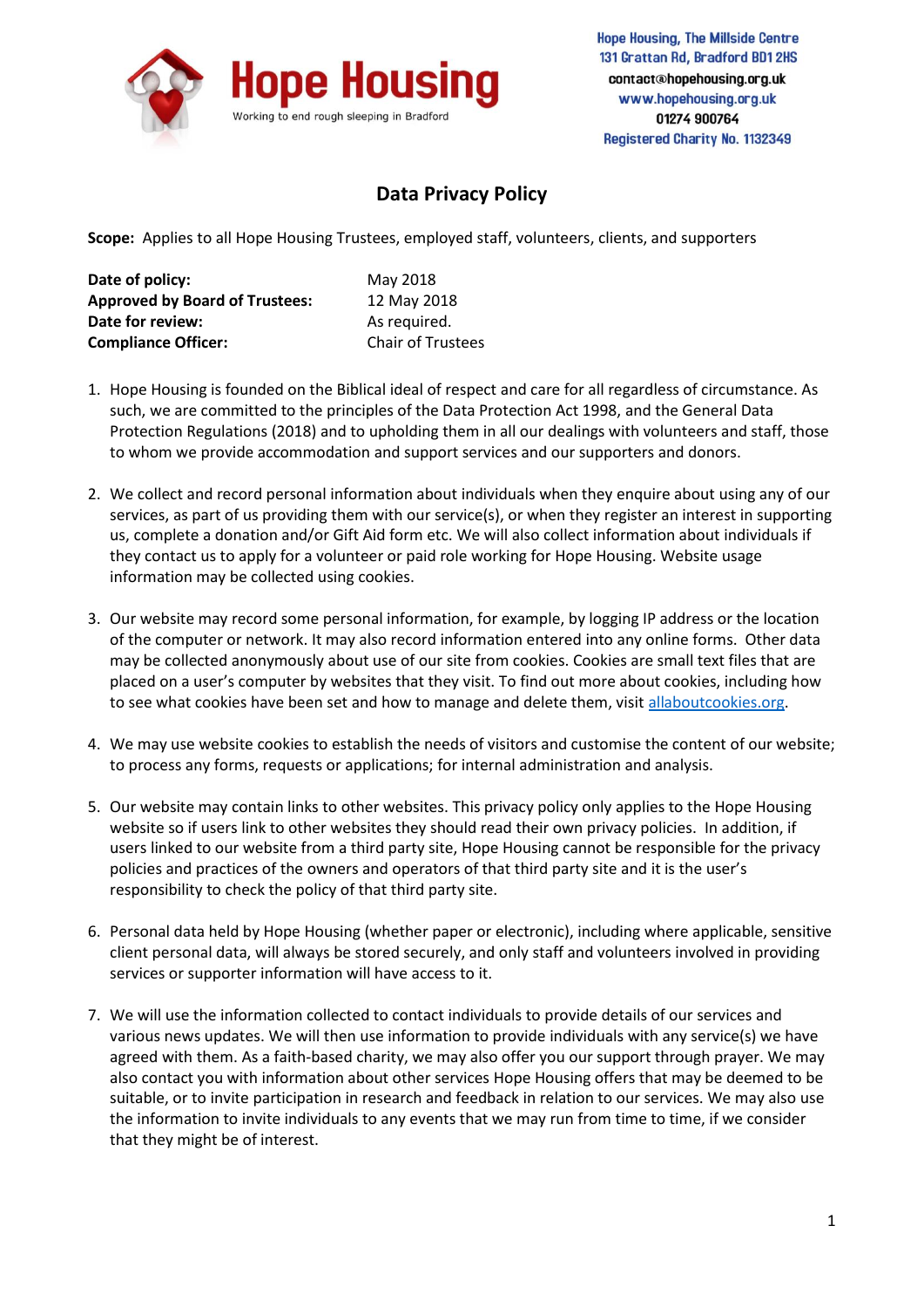

## **Data Privacy Policy**

**Scope:** Applies to all Hope Housing Trustees, employed staff, volunteers, clients, and supporters

| Date of policy:                       | May 2018                 |
|---------------------------------------|--------------------------|
| <b>Approved by Board of Trustees:</b> | 12 May 2018              |
| Date for review:                      | As required.             |
| <b>Compliance Officer:</b>            | <b>Chair of Trustees</b> |

- 1. Hope Housing is founded on the Biblical ideal of respect and care for all regardless of circumstance. As such, we are committed to the principles of the Data Protection Act 1998, and the General Data Protection Regulations (2018) and to upholding them in all our dealings with volunteers and staff, those to whom we provide accommodation and support services and our supporters and donors.
- 2. We collect and record personal information about individuals when they enquire about using any of our services, as part of us providing them with our service(s), or when they register an interest in supporting us, complete a donation and/or Gift Aid form etc. We will also collect information about individuals if they contact us to apply for a volunteer or paid role working for Hope Housing. Website usage information may be collected using cookies.
- 3. Our website may record some personal information, for example, by logging IP address or the location of the computer or network. It may also record information entered into any online forms. Other data may be collected anonymously about use of our site from cookies. Cookies are small text files that are placed on a user's computer by websites that they visit. To find out more about cookies, including how to see what cookies have been set and how to manage and delete them, visit [allaboutcookies.org.](http://www.allaboutcookies.org/)
- 4. We may use website cookies to establish the needs of visitors and customise the content of our website; to process any forms, requests or applications; for internal administration and analysis.
- 5. Our website may contain links to other websites. This privacy policy only applies to the Hope Housing website so if users link to other websites they should read their own privacy policies. In addition, if users linked to our website from a third party site, Hope Housing cannot be responsible for the privacy policies and practices of the owners and operators of that third party site and it is the user's responsibility to check the policy of that third party site.
- 6. Personal data held by Hope Housing (whether paper or electronic), including where applicable, sensitive client personal data, will always be stored securely, and only staff and volunteers involved in providing services or supporter information will have access to it.
- 7. We will use the information collected to contact individuals to provide details of our services and various news updates. We will then use information to provide individuals with any service(s) we have agreed with them. As a faith-based charity, we may also offer you our support through prayer. We may also contact you with information about other services Hope Housing offers that may be deemed to be suitable, or to invite participation in research and feedback in relation to our services. We may also use the information to invite individuals to any events that we may run from time to time, if we consider that they might be of interest.